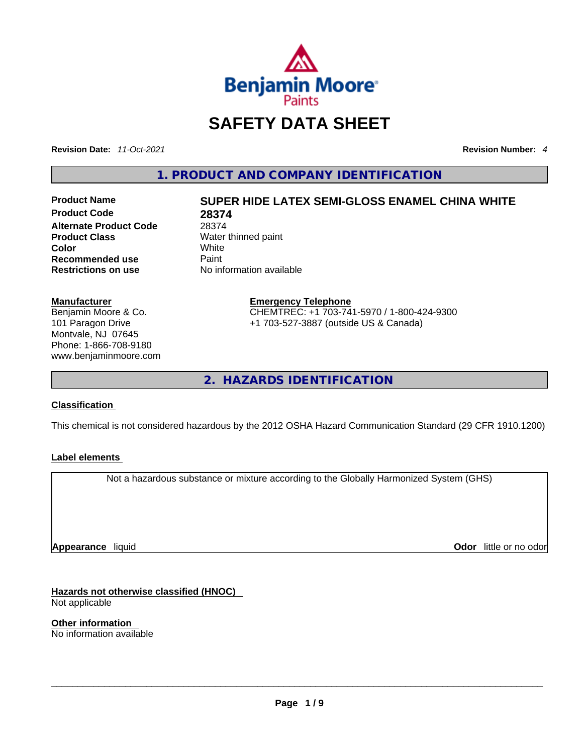

# **SAFETY DATA SHEET**

**Revision Date:** *11-Oct-2021* **Revision Number:** *4*

**1. PRODUCT AND COMPANY IDENTIFICATION** 

**Product Code 28374 Alternate Product Code** 28374<br> **Product Class** Water **Product Class Water thinned paint**<br> **Color White Color** White **Recommended use** Paint<br> **Restrictions on use** Mo information available **Restrictions** on use

# **Product Name SUPER HIDE LATEX SEMI-GLOSS ENAMEL CHINA WHITE**

# **Manufacturer**

Benjamin Moore & Co. 101 Paragon Drive Montvale, NJ 07645 Phone: 1-866-708-9180 www.benjaminmoore.com

### **Emergency Telephone** CHEMTREC: +1 703-741-5970 / 1-800-424-9300 +1 703-527-3887 (outside US & Canada)

**2. HAZARDS IDENTIFICATION** 

### **Classification**

This chemical is not considered hazardous by the 2012 OSHA Hazard Communication Standard (29 CFR 1910.1200)

### **Label elements**

Not a hazardous substance or mixture according to the Globally Harmonized System (GHS)

**Appearance** liquid

**Odor** little or no odor

**Hazards not otherwise classified (HNOC)**  Not applicable

**Other information**  No information available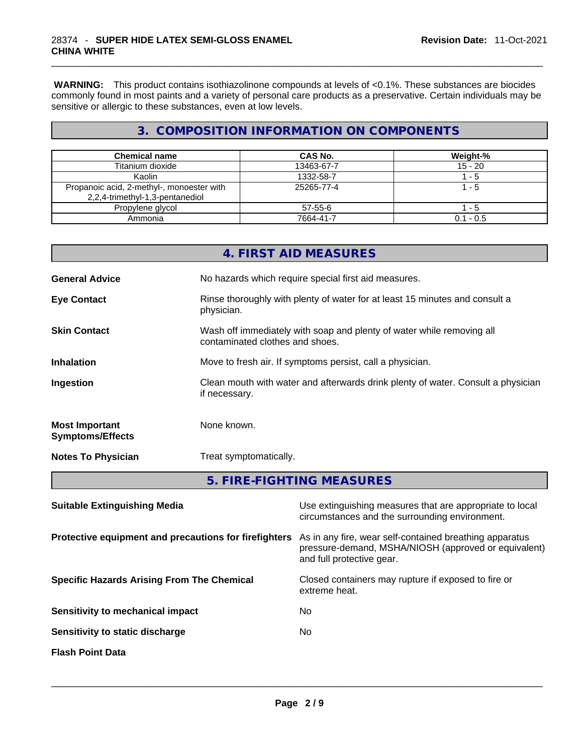**WARNING:** This product contains isothiazolinone compounds at levels of <0.1%. These substances are biocides commonly found in most paints and a variety of personal care products as a preservative. Certain individuals may be sensitive or allergic to these substances, even at low levels.

# **3. COMPOSITION INFORMATION ON COMPONENTS**

| <b>Chemical name</b>                                                         | CAS No.    | Weight-%    |
|------------------------------------------------------------------------------|------------|-------------|
| Titanium dioxide                                                             | 13463-67-7 | $15 - 20$   |
| Kaolin                                                                       | 1332-58-7  | $-5$        |
| Propanoic acid, 2-methyl-, monoester with<br>2,2,4-trimethyl-1,3-pentanediol | 25265-77-4 | 1 - 5       |
| Propylene glycol                                                             | 57-55-6    | - 5         |
| Ammonia                                                                      | 7664-41-7  | $0.1 - 0.5$ |

|                                                  | 4. FIRST AID MEASURES                                                                                    |
|--------------------------------------------------|----------------------------------------------------------------------------------------------------------|
| <b>General Advice</b>                            | No hazards which require special first aid measures.                                                     |
| <b>Eye Contact</b>                               | Rinse thoroughly with plenty of water for at least 15 minutes and consult a<br>physician.                |
| <b>Skin Contact</b>                              | Wash off immediately with soap and plenty of water while removing all<br>contaminated clothes and shoes. |
| <b>Inhalation</b>                                | Move to fresh air. If symptoms persist, call a physician.                                                |
| Ingestion                                        | Clean mouth with water and afterwards drink plenty of water. Consult a physician<br>if necessary.        |
| <b>Most Important</b><br><b>Symptoms/Effects</b> | None known.                                                                                              |
| <b>Notes To Physician</b>                        | Treat symptomatically.                                                                                   |
|                                                  | 5. FIRE-FIGHTING MEASURES                                                                                |

| Use extinguishing measures that are appropriate to local<br>circumstances and the surrounding environment.                                   |
|----------------------------------------------------------------------------------------------------------------------------------------------|
| As in any fire, wear self-contained breathing apparatus<br>pressure-demand, MSHA/NIOSH (approved or equivalent)<br>and full protective gear. |
| Closed containers may rupture if exposed to fire or<br>extreme heat.                                                                         |
| No.                                                                                                                                          |
| No                                                                                                                                           |
|                                                                                                                                              |
|                                                                                                                                              |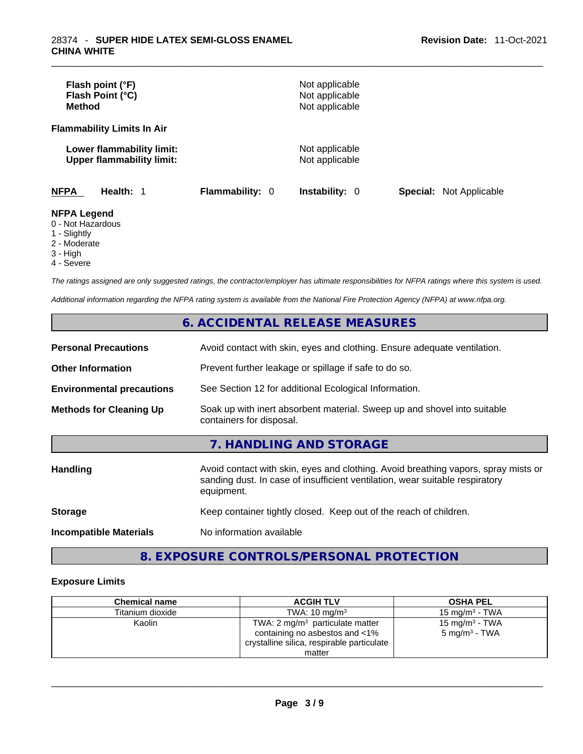| Flash point (°F)<br>Flash Point (°C)<br><b>Method</b>         |                        | Not applicable<br>Not applicable<br>Not applicable |                                |
|---------------------------------------------------------------|------------------------|----------------------------------------------------|--------------------------------|
| <b>Flammability Limits In Air</b>                             |                        |                                                    |                                |
| Lower flammability limit:<br><b>Upper flammability limit:</b> |                        | Not applicable<br>Not applicable                   |                                |
| <b>NFPA</b><br>Health: 1                                      | <b>Flammability: 0</b> | <b>Instability: 0</b>                              | <b>Special: Not Applicable</b> |
| <b>NFPA Legend</b><br>0 - Not Hazardous<br>1 - Slightly       |                        |                                                    |                                |

- 
- 2 Moderate
- 3 High
- 4 Severe

*The ratings assigned are only suggested ratings, the contractor/employer has ultimate responsibilities for NFPA ratings where this system is used.* 

*Additional information regarding the NFPA rating system is available from the National Fire Protection Agency (NFPA) at www.nfpa.org.* 

# **6. ACCIDENTAL RELEASE MEASURES**

| <b>Personal Precautions</b>      | Avoid contact with skin, eyes and clothing. Ensure adequate ventilation.                                                                                                         |
|----------------------------------|----------------------------------------------------------------------------------------------------------------------------------------------------------------------------------|
| <b>Other Information</b>         | Prevent further leakage or spillage if safe to do so.                                                                                                                            |
| <b>Environmental precautions</b> | See Section 12 for additional Ecological Information.                                                                                                                            |
| <b>Methods for Cleaning Up</b>   | Soak up with inert absorbent material. Sweep up and shovel into suitable<br>containers for disposal.                                                                             |
|                                  | 7. HANDLING AND STORAGE                                                                                                                                                          |
| <b>Handling</b>                  | Avoid contact with skin, eyes and clothing. Avoid breathing vapors, spray mists or<br>sanding dust. In case of insufficient ventilation, wear suitable respiratory<br>equipment. |
| <b>Storage</b>                   | Keep container tightly closed. Keep out of the reach of children.                                                                                                                |
| <b>Incompatible Materials</b>    | No information available                                                                                                                                                         |

# **8. EXPOSURE CONTROLS/PERSONAL PROTECTION**

## **Exposure Limits**

| <b>Chemical name</b> | <b>ACGIH TLV</b>                                                                                                                     | <b>OSHA PEL</b>                                        |
|----------------------|--------------------------------------------------------------------------------------------------------------------------------------|--------------------------------------------------------|
| Titanium dioxide     | TWA: $10 \text{ ma/m}^3$                                                                                                             | 15 mg/m $3$ - TWA                                      |
| Kaolin               | TWA: $2 \text{ mg/m}^3$ particulate matter<br>containing no asbestos and <1%<br>crystalline silica, respirable particulate<br>matter | 15 mg/m <sup>3</sup> - TWA<br>$5 \text{ mg/m}^3$ - TWA |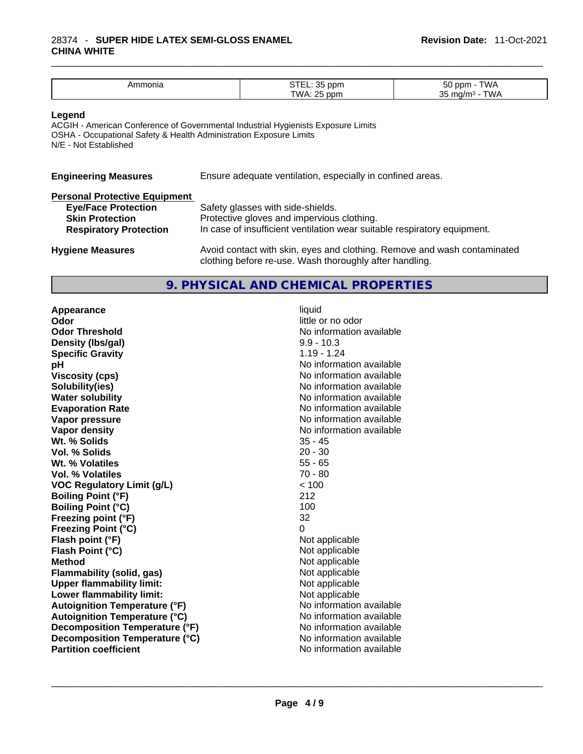### \_\_\_\_\_\_\_\_\_\_\_\_\_\_\_\_\_\_\_\_\_\_\_\_\_\_\_\_\_\_\_\_\_\_\_\_\_\_\_\_\_\_\_\_\_\_\_\_\_\_\_\_\_\_\_\_\_\_\_\_\_\_\_\_\_\_\_\_\_\_\_\_\_\_\_\_\_\_\_\_\_\_\_\_\_\_\_\_\_\_\_\_\_ 28374 - **SUPER HIDE LATEX SEMI-GLOSS ENAMEL CHINA WHITE**

| . HUHE<br>.ור | $\sim$ $-$<br>ppm         | $ \sim$       |
|---------------|---------------------------|---------------|
|               | $\sim$ $-$<br>—۱۸.<br>nnn | $\sim$ $\sim$ |

### **Legend**

ACGIH - American Conference of Governmental Industrial Hygienists Exposure Limits OSHA - Occupational Safety & Health Administration Exposure Limits N/E - Not Established

| <b>Engineering Measures</b>          | Ensure adequate ventilation, especially in confined areas. |
|--------------------------------------|------------------------------------------------------------|
| <b>Dorconal Drotoctive Equipment</b> |                                                            |

| Fersonal Flotective Equipment |                                                                          |
|-------------------------------|--------------------------------------------------------------------------|
| <b>Eye/Face Protection</b>    | Safety glasses with side-shields.                                        |
| <b>Skin Protection</b>        | Protective gloves and impervious clothing.                               |
| <b>Respiratory Protection</b> | In case of insufficient ventilation wear suitable respiratory equipment. |
|                               |                                                                          |
| <b>Hygiene Measures</b>       | Avoid contact with skin, eyes and clothing. Remove and wash contaminated |

# **9. PHYSICAL AND CHEMICAL PROPERTIES**

clothing before re-use. Wash thoroughly after handling.

**Appearance** liquid **Odor** little or no odor **Odor Threshold**<br> **Density (Ibs/gal)**<br> **Density (Ibs/gal)**<br> **No information available**<br>  $9.9 - 10.3$ **Density** (Ibs/gal) **Specific Gravity** 1.19 - 1.24 **pH** No information available **Viscosity (cps) Viscosity (cps) No information available Solubility(ies)** No information available **Water solubility Water solubility No information available Evaporation Rate No information available No information available Vapor pressure No information available No information available Vapor density**<br> **We Solids**<br>
We Solids
25 - 45 **Wt. % Solids** 35 - 45<br> **Vol. % Solids** 20 - 30 **Vol. % Solids Wt. % Volatiles** 55 - 65 **Vol. % Volatiles VOC Regulatory Limit (g/L)** < 100 **Boiling Point (°F)** 212 **Boiling Point (°C) Freezing point (°F)** 32 **Freezing Point (°C)**<br> **Flash point (°F)**<br> **Flash point (°F)**<br> **Point (°F)**<br> **Point (°F)**<br> **Point (°F)**<br> **Point (°F)**<br> **Point (°F) Flash point (°F) Flash Point (°C)** Not applicable **Method**<br> **Rethod**<br> **Rethod**<br> **Rethod**<br> **Not applicable**<br>
Not applicable **Flammability** (solid, gas) **Upper flammability limit:** Not applicable **Lower flammability limit:**<br> **Autoignition Temperature (°F)** Not applicable havailable **Autoignition Temperature (°F) Autoignition Temperature (°C)** No information available **Decomposition Temperature (°F)** No information available<br> **Decomposition Temperature (°C)** No information available **Decomposition Temperature (°C)**<br> **Partition coefficient**<br> **Partition coefficient**<br> **No** information available **Partition coefficient**No information available \_\_\_\_\_\_\_\_\_\_\_\_\_\_\_\_\_\_\_\_\_\_\_\_\_\_\_\_\_\_\_\_\_\_\_\_\_\_\_\_\_\_\_\_\_\_\_\_\_\_\_\_\_\_\_\_\_\_\_\_\_\_\_\_\_\_\_\_\_\_\_\_\_\_\_\_\_\_\_\_\_\_\_\_\_\_\_\_\_\_\_\_\_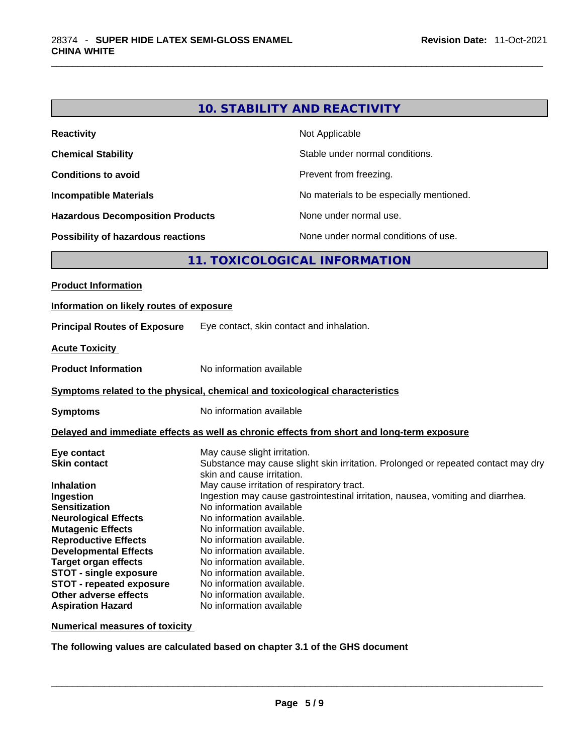| <b>Reactivity</b>                         | Not Applicable                           |
|-------------------------------------------|------------------------------------------|
| <b>Chemical Stability</b>                 | Stable under normal conditions.          |
| <b>Conditions to avoid</b>                | Prevent from freezing.                   |
| <b>Incompatible Materials</b>             | No materials to be especially mentioned. |
| <b>Hazardous Decomposition Products</b>   | None under normal use.                   |
| <b>Possibility of hazardous reactions</b> | None under normal conditions of use.     |

# **11. TOXICOLOGICAL INFORMATION**

| Information on likely routes of exposure<br>Eye contact, skin contact and inhalation.<br><b>Acute Toxicity</b><br>No information available<br><b>Product Information</b><br>Symptoms related to the physical, chemical and toxicological characteristics<br>No information available<br>Delayed and immediate effects as well as chronic effects from short and long-term exposure<br>May cause slight irritation.<br>Eye contact<br>Substance may cause slight skin irritation. Prolonged or repeated contact may dry<br>skin and cause irritation.<br>May cause irritation of respiratory tract.                                                                                                     |
|--------------------------------------------------------------------------------------------------------------------------------------------------------------------------------------------------------------------------------------------------------------------------------------------------------------------------------------------------------------------------------------------------------------------------------------------------------------------------------------------------------------------------------------------------------------------------------------------------------------------------------------------------------------------------------------------------------|
| <b>Principal Routes of Exposure</b><br><b>Symptoms</b><br><b>Skin contact</b><br><b>Inhalation</b>                                                                                                                                                                                                                                                                                                                                                                                                                                                                                                                                                                                                     |
|                                                                                                                                                                                                                                                                                                                                                                                                                                                                                                                                                                                                                                                                                                        |
|                                                                                                                                                                                                                                                                                                                                                                                                                                                                                                                                                                                                                                                                                                        |
|                                                                                                                                                                                                                                                                                                                                                                                                                                                                                                                                                                                                                                                                                                        |
|                                                                                                                                                                                                                                                                                                                                                                                                                                                                                                                                                                                                                                                                                                        |
|                                                                                                                                                                                                                                                                                                                                                                                                                                                                                                                                                                                                                                                                                                        |
|                                                                                                                                                                                                                                                                                                                                                                                                                                                                                                                                                                                                                                                                                                        |
| Ingestion may cause gastrointestinal irritation, nausea, vomiting and diarrhea.<br>Ingestion<br>No information available<br><b>Sensitization</b><br>No information available.<br><b>Neurological Effects</b><br><b>Mutagenic Effects</b><br>No information available.<br><b>Reproductive Effects</b><br>No information available.<br><b>Developmental Effects</b><br>No information available.<br>No information available.<br><b>Target organ effects</b><br><b>STOT - single exposure</b><br>No information available.<br><b>STOT - repeated exposure</b><br>No information available.<br>Other adverse effects<br>No information available.<br>No information available<br><b>Aspiration Hazard</b> |

**Numerical measures of toxicity**

**The following values are calculated based on chapter 3.1 of the GHS document**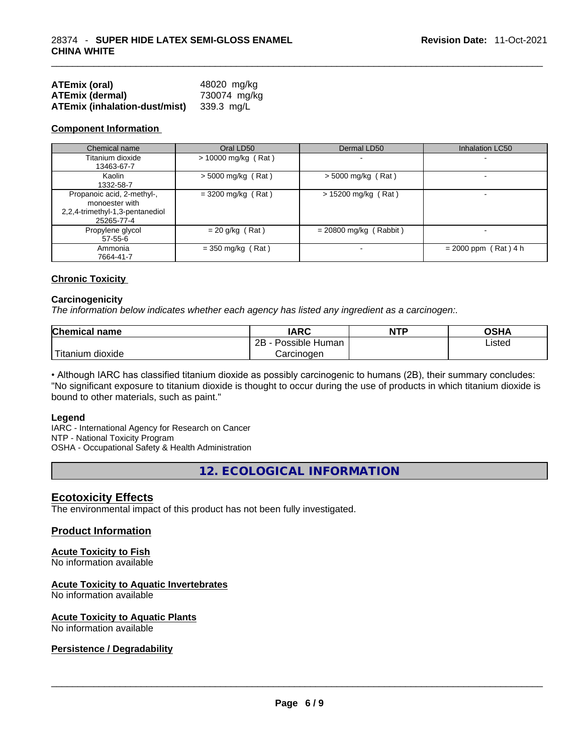| <b>ATEmix (oral)</b>          | 48020 mg/kg  |
|-------------------------------|--------------|
| <b>ATEmix (dermal)</b>        | 730074 mg/kg |
| ATEmix (inhalation-dust/mist) | 339.3 mg/L   |

### **Component Information**

| Chemical name                                                                                 | Oral LD50             | Dermal LD50              | Inhalation LC50          |
|-----------------------------------------------------------------------------------------------|-----------------------|--------------------------|--------------------------|
| Titanium dioxide<br>13463-67-7                                                                | $> 10000$ mg/kg (Rat) | $\overline{\phantom{0}}$ | $\overline{\phantom{a}}$ |
| Kaolin<br>1332-58-7                                                                           | $>$ 5000 mg/kg (Rat)  | $>$ 5000 mg/kg (Rat)     |                          |
| Propanoic acid, 2-methyl-,<br>monoester with<br>2,2,4-trimethyl-1,3-pentanediol<br>25265-77-4 | $=$ 3200 mg/kg (Rat)  | $> 15200$ mg/kg (Rat)    |                          |
| Propylene glycol<br>$57 - 55 - 6$                                                             | $= 20$ g/kg (Rat)     | $= 20800$ mg/kg (Rabbit) |                          |
| Ammonia<br>7664-41-7                                                                          | $=$ 350 mg/kg (Rat)   | $\overline{\phantom{0}}$ | $= 2000$ ppm (Rat) 4 h   |

### **Chronic Toxicity**

### **Carcinogenicity**

*The information below indicates whether each agency has listed any ingredient as a carcinogen:.* 

| <b>Chemical name</b>  | IARC                 | <b>NTP</b> | OSHA   |
|-----------------------|----------------------|------------|--------|
|                       | 2B<br>Possible Human |            | ∟isted |
| Titanium J<br>dioxide | Carcinogen           |            |        |

• Although IARC has classified titanium dioxide as possibly carcinogenic to humans (2B), their summary concludes: "No significant exposure to titanium dioxide is thought to occur during the use of products in which titanium dioxide is bound to other materials, such as paint."

#### **Legend**

IARC - International Agency for Research on Cancer NTP - National Toxicity Program OSHA - Occupational Safety & Health Administration

**12. ECOLOGICAL INFORMATION** 

### **Ecotoxicity Effects**

The environmental impact of this product has not been fully investigated.

### **Product Information**

# **Acute Toxicity to Fish**

No information available

### **Acute Toxicity to Aquatic Invertebrates**

No information available

# **Acute Toxicity to Aquatic Plants**

# No information available \_\_\_\_\_\_\_\_\_\_\_\_\_\_\_\_\_\_\_\_\_\_\_\_\_\_\_\_\_\_\_\_\_\_\_\_\_\_\_\_\_\_\_\_\_\_\_\_\_\_\_\_\_\_\_\_\_\_\_\_\_\_\_\_\_\_\_\_\_\_\_\_\_\_\_\_\_\_\_\_\_\_\_\_\_\_\_\_\_\_\_\_\_ **Persistence / Degradability**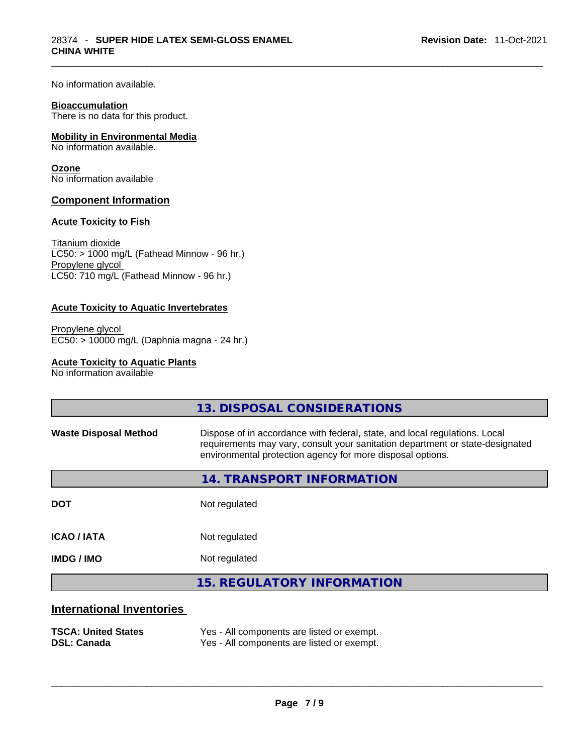No information available.

### **Bioaccumulation**

There is no data for this product.

### **Mobility in Environmental Media**

No information available.

### **Ozone**

No information available

### **Component Information**

### **Acute Toxicity to Fish**

Titanium dioxide  $LCS0:$  > 1000 mg/L (Fathead Minnow - 96 hr.) Propylene glycol LC50: 710 mg/L (Fathead Minnow - 96 hr.)

### **Acute Toxicity to Aquatic Invertebrates**

Propylene glycol EC50: > 10000 mg/L (Daphnia magna - 24 hr.)

### **Acute Toxicity to Aquatic Plants**

No information available

|                                  | 13. DISPOSAL CONSIDERATIONS                                                                                                                                                                                               |
|----------------------------------|---------------------------------------------------------------------------------------------------------------------------------------------------------------------------------------------------------------------------|
| <b>Waste Disposal Method</b>     | Dispose of in accordance with federal, state, and local regulations. Local<br>requirements may vary, consult your sanitation department or state-designated<br>environmental protection agency for more disposal options. |
|                                  | 14. TRANSPORT INFORMATION                                                                                                                                                                                                 |
| <b>DOT</b>                       | Not regulated                                                                                                                                                                                                             |
| <b>ICAO/IATA</b>                 | Not regulated                                                                                                                                                                                                             |
| <b>IMDG / IMO</b>                | Not regulated                                                                                                                                                                                                             |
|                                  | <b>15. REGULATORY INFORMATION</b>                                                                                                                                                                                         |
| <b>International Inventories</b> |                                                                                                                                                                                                                           |

### **TSCA: United States** Yes - All components are listed or exempt.<br> **DSL: Canada** Yes - All components are listed or exempt. Yes - All components are listed or exempt.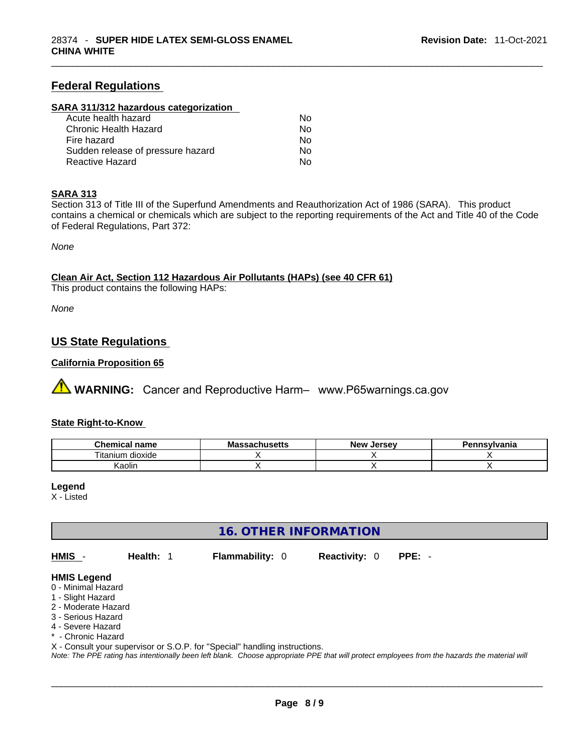# **Federal Regulations**

### **SARA 311/312 hazardous categorization**

| Acute health hazard               | No. |  |
|-----------------------------------|-----|--|
| Chronic Health Hazard             | No. |  |
| Fire hazard                       | No. |  |
| Sudden release of pressure hazard | No. |  |
| Reactive Hazard                   | Nο  |  |

### **SARA 313**

Section 313 of Title III of the Superfund Amendments and Reauthorization Act of 1986 (SARA). This product contains a chemical or chemicals which are subject to the reporting requirements of the Act and Title 40 of the Code of Federal Regulations, Part 372:

*None*

### **Clean Air Act,Section 112 Hazardous Air Pollutants (HAPs) (see 40 CFR 61)**

This product contains the following HAPs:

*None*

# **US State Regulations**

### **California Proposition 65**

 **WARNING:** Cancer and Reproductive Harm– www.P65warnings.ca.gov

### **State Right-to-Know**

| <b>Chemical</b><br>name           | <b>ALLICATE</b><br>ี Ma<br>isetts | . Jersev<br><b>Nev</b> | Pennsylvania |
|-----------------------------------|-----------------------------------|------------------------|--------------|
| $- \cdot$ .<br>itanium<br>dioxide |                                   |                        |              |
| $\cdots$<br>Kaolir                |                                   |                        |              |

### **Legend**

X - Listed

# **16. OTHER INFORMATION**

**HMIS** - **Health:** 1 **Flammability:** 0 **Reactivity:** 0 **PPE:** -

### **HMIS Legend**

- 0 Minimal Hazard
- 1 Slight Hazard
- 2 Moderate Hazard
- 3 Serious Hazard
- 4 Severe Hazard
- \* Chronic Hazard

X - Consult your supervisor or S.O.P. for "Special" handling instructions.

Note: The PPE rating has intentionally been left blank. Choose appropriate PPE that will protect employees from the hazards the material will